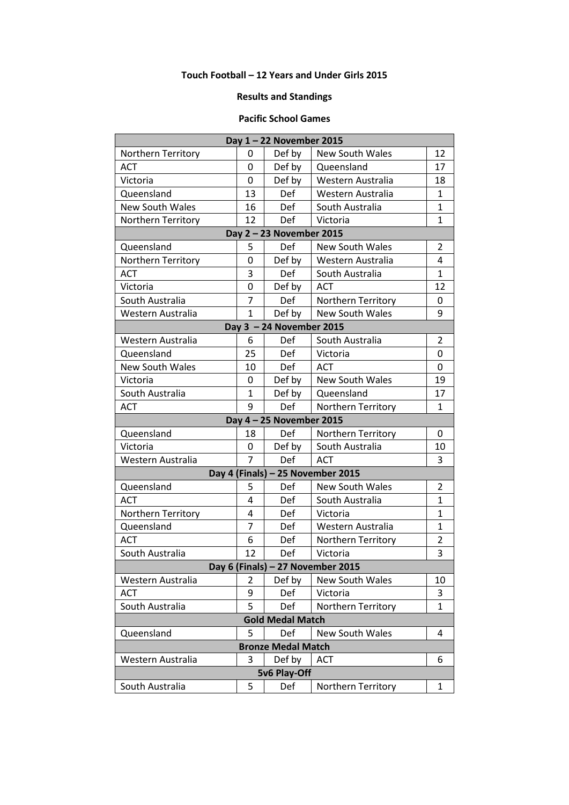## **Touch Football – 12 Years and Under Girls 2015**

## **Results and Standings**

## **Pacific School Games**

| Day 1-22 November 2015            |                |            |                        |                |
|-----------------------------------|----------------|------------|------------------------|----------------|
| Northern Territory                | 0              | Def by     | <b>New South Wales</b> | 12             |
| <b>ACT</b>                        | $\Omega$       | Def by     | Queensland             | 17             |
| Victoria                          | 0              | Def by     | Western Australia      | 18             |
| Queensland                        | 13             | Def        | Western Australia      | $\mathbf{1}$   |
| <b>New South Wales</b>            | 16             | <b>Def</b> | South Australia        | $\mathbf{1}$   |
| Northern Territory                | 12             | Def        | Victoria               | $\mathbf{1}$   |
| Day 2 - 23 November 2015          |                |            |                        |                |
| Queensland                        | 5              | Def        | <b>New South Wales</b> | $\overline{2}$ |
| <b>Northern Territory</b>         | 0              | Def by     | Western Australia      | 4              |
| <b>ACT</b>                        | 3              | Def        | South Australia        | $\mathbf{1}$   |
| Victoria                          | 0              | Def by     | <b>ACT</b>             | 12             |
| South Australia                   | 7              | Def        | Northern Territory     | 0              |
| Western Australia                 | $\mathbf{1}$   | Def by     | <b>New South Wales</b> | 9              |
| Day 3 - 24 November 2015          |                |            |                        |                |
| Western Australia                 | 6              | Def        | South Australia        | $\overline{2}$ |
| Queensland                        | 25             | Def        | Victoria               | 0              |
| <b>New South Wales</b>            | 10             | Def        | <b>ACT</b>             | 0              |
| Victoria                          | 0              | Def by     | <b>New South Wales</b> | 19             |
| South Australia                   | $\mathbf{1}$   | Def by     | Queensland             | 17             |
| <b>ACT</b>                        | 9              | Def        | Northern Territory     | 1              |
| Day 4 - 25 November 2015          |                |            |                        |                |
| Queensland                        | 18             | Def        | Northern Territory     | 0              |
| Victoria                          | 0              | Def by     | South Australia        | 10             |
| Western Australia                 | $\overline{7}$ | Def        | <b>ACT</b>             | 3              |
| Day 4 (Finals) - 25 November 2015 |                |            |                        |                |
| Queensland                        | 5              | Def        | <b>New South Wales</b> | $\overline{2}$ |
| <b>ACT</b>                        | 4              | Def        | South Australia        | $\mathbf{1}$   |
| Northern Territory                | 4              | Def        | Victoria               | $\mathbf{1}$   |
| Queensland                        | $\overline{7}$ | Def        | Western Australia      | $\mathbf{1}$   |
| <b>ACT</b>                        | 6              | Def        | Northern Territory     | $\overline{2}$ |
| South Australia                   | 12             | Def        | Victoria               | 3              |
| Day 6 (Finals) - 27 November 2015 |                |            |                        |                |
| Western Australia                 | 2              | Def by     | New South Wales        | 10             |
| <b>ACT</b>                        | 9              | Def        | Victoria               | 3              |
| South Australia                   | 5              | Def        | Northern Territory     | 1              |
| <b>Gold Medal Match</b>           |                |            |                        |                |
| Queensland                        | 5              | Def        | <b>New South Wales</b> | 4              |
| <b>Bronze Medal Match</b>         |                |            |                        |                |
| Western Australia                 | 3              | Def by     | <b>ACT</b>             | 6              |
| 5v6 Play-Off                      |                |            |                        |                |
| South Australia                   | 5              | Def        | Northern Territory     | $\mathbf{1}$   |